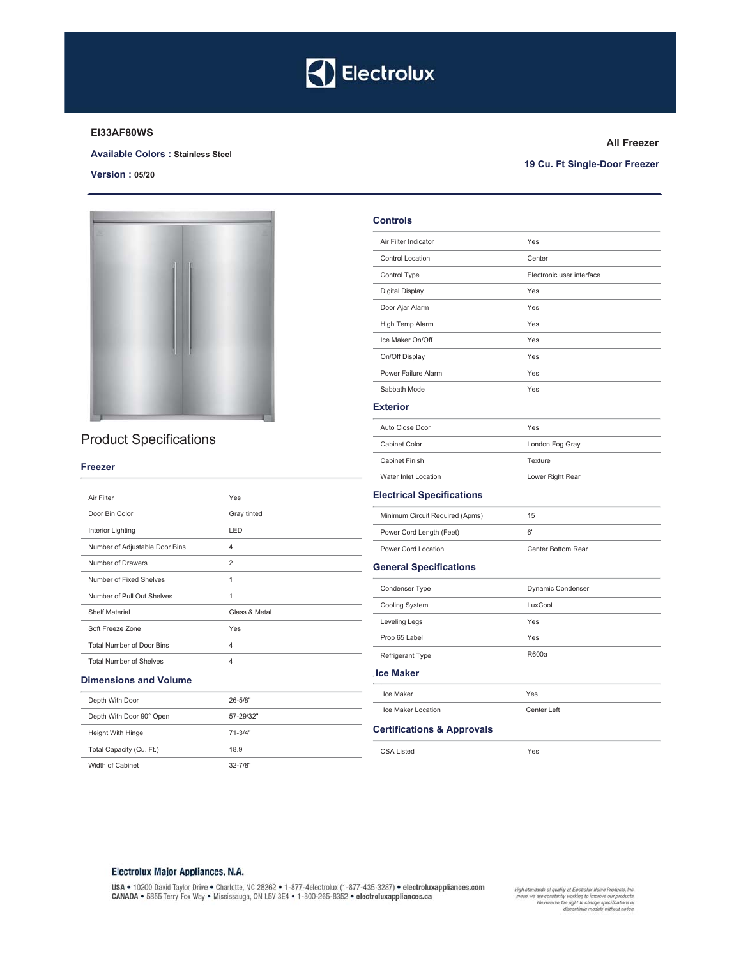

## **EI33AF80WS**

## **Available Colors : Stainless Steel**

Version: 05/20

**All Freezer** 

19 Cu. Ft Single-Door Freezer



## **Product Specifications**

### Freezer

| Air Filter                       | Yes            |
|----------------------------------|----------------|
| Door Bin Color                   | Gray tinted    |
| Interior Lighting                | LED            |
| Number of Adjustable Door Bins   | 4              |
| Number of Drawers                | $\overline{2}$ |
| Number of Fixed Shelves          | 1              |
| Number of Pull Out Shelves       | 1              |
| <b>Shelf Material</b>            | Glass & Metal  |
| Soft Freeze Zone                 | Yes            |
| <b>Total Number of Door Bins</b> | 4              |
| <b>Total Number of Shelves</b>   | $\overline{4}$ |
| <b>Dimensions and Volume</b>     |                |
| Depth With Door                  | $26 - 5/8"$    |
| Depth With Door 90° Open         | 57-29/32"      |
| <b>Height With Hinge</b>         | $71 - 3/4"$    |
| Total Capacity (Cu. Ft.)         | 18.9           |
| Width of Cabinet                 | $32 - 7/8"$    |

| Air Filter Indicator                                         | Yes                       |  |
|--------------------------------------------------------------|---------------------------|--|
| Control Location                                             | Center                    |  |
| Control Type                                                 | Electronic user interface |  |
| <b>Digital Display</b>                                       | Yes                       |  |
| Door Ajar Alarm                                              | Yes                       |  |
| High Temp Alarm                                              | Yes                       |  |
| Ice Maker On/Off                                             | Yes                       |  |
| On/Off Display                                               | Yes                       |  |
| Power Failure Alarm                                          | Yes                       |  |
| Sabbath Mode                                                 | Yes                       |  |
| <b>Exterior</b>                                              |                           |  |
| Auto Close Door                                              | Yes                       |  |
| <b>Cabinet Color</b>                                         | London Fog Gray           |  |
| <b>Cabinet Finish</b>                                        | Texture                   |  |
|                                                              |                           |  |
| Water Inlet Location                                         | Lower Right Rear          |  |
|                                                              |                           |  |
| Minimum Circuit Required (Apms)                              | 15                        |  |
| <b>Electrical Specifications</b><br>Power Cord Length (Feet) | 6'                        |  |
| Power Cord Location                                          | <b>Center Bottom Rear</b> |  |
|                                                              |                           |  |
| Condenser Type                                               | Dynamic Condenser         |  |
| Cooling System                                               | LuxCool                   |  |
| <b>General Specifications</b><br>Leveling Legs               | Yes                       |  |
| Prop 65 Label                                                | Yes                       |  |
| Refrigerant Type                                             | R600a                     |  |
| <b>Ice Maker</b>                                             |                           |  |
| Ice Maker                                                    | Yes                       |  |

## CSA Listed

## Yes

## Electrolux Major Appliances, N.A.

USA . 10200 David Taylor Drive . Charlotte, NC 28262 . 1-877-4electrolux (1-877-435-3287) . electroluxappliances.com<br>CANADA . 5855 Terry Fox Way . Mississauga, ON L5V 3E4 . 1-800-265-8352 . electroluxappliances.ca